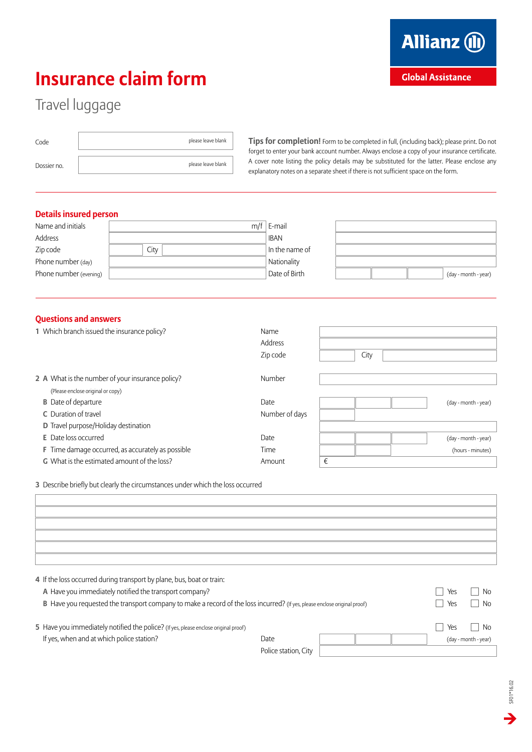## **Insurance claim form**

## Travel luggage

| Code        | please leave blank |
|-------------|--------------------|
| Dossier no. | please leave blank |

**Tips for completion!** Form to be completed in full, (including back); please print. Do not forget to enter your bank account number. Always enclose a copy of your insurance certificate. A cover note listing the policy details may be substituted for the latter. Please enclose any explanatory notes on a separate sheet if there is not sufficient space on the form.

## **Details insured person**

| Name and initials      |      | $m/f \mid E$ -mail |                      |
|------------------------|------|--------------------|----------------------|
| Address                |      | <b>IBAN</b>        |                      |
| Zip code               | City | In the name of     |                      |
| Phone number (day)     |      | Nationality        |                      |
| Phone number (evening) |      | Date of Birth      | (day - month - year) |

## **Questions and answers**

| 1 Which branch issued the insurance policy?              | Name           |                      |
|----------------------------------------------------------|----------------|----------------------|
|                                                          | Address        |                      |
|                                                          | Zip code       | City                 |
| 2 A What is the number of your insurance policy?         | Number         |                      |
| (Please enclose original or copy)                        |                |                      |
| <b>B</b> Date of departure                               | Date           | (day - month - year) |
| C Duration of travel                                     | Number of days |                      |
| <b>D</b> Travel purpose/Holiday destination              |                |                      |
| <b>E</b> Date loss occurred                              | Date           | (day - month - year) |
| <b>F</b> Time damage occurred, as accurately as possible | Time           | (hours - minutes)    |
| <b>G</b> What is the estimated amount of the loss?       | Amount         | €                    |
|                                                          |                |                      |

**3** Describe briefly but clearly the circumstances under which the loss occurred

| 4 If the loss occurred during transport by plane, bus, boat or train:                                                                                                                                                                                                                                                                                                                                                                                           |        |              |
|-----------------------------------------------------------------------------------------------------------------------------------------------------------------------------------------------------------------------------------------------------------------------------------------------------------------------------------------------------------------------------------------------------------------------------------------------------------------|--------|--------------|
| A Have you immediately notified the transport company?                                                                                                                                                                                                                                                                                                                                                                                                          | Yes    | No.          |
| model and the contract of the contract of the contract of the contract of the contract of the contract of the contract of the contract of the contract of the contract of the contract of the contract of the contract of the<br>the first contract of the contract of the contract of the contract of the contract of the contract of the contract of the contract of the contract of the contract of the contract of the contract of the contract of the cont | $\Box$ | $\mathbf{A}$ |

| <b>B</b> Have you requested the transport company to make a record of the loss incurred? (If yes, please enclose original proof) | Yes                  | No. |     |                      |
|----------------------------------------------------------------------------------------------------------------------------------|----------------------|-----|-----|----------------------|
| 5 Have you immediately notified the police? (If yes, please enclose original proof)                                              |                      |     | Yes | No.                  |
| If yes, when and at which police station?                                                                                        | Date                 |     |     | (day - month - year) |
|                                                                                                                                  | Police station, City |     |     |                      |